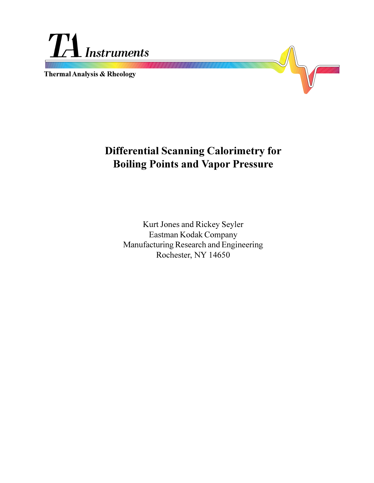

**Thermal Analysis & Rheology**



Kurt Jones and Rickey Seyler Eastman Kodak Company Manufacturing Research and Engineering Rochester, NY 14650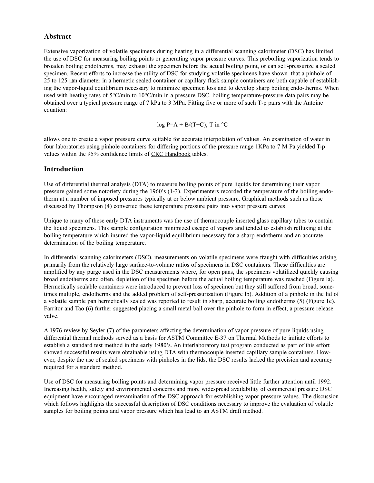# **Abstract**

Extensive vaporization of volatile specimens during heating in a differential scanning calorimeter (DSC) has limited the use of DSC for measuring boiling points or generating vapor pressure curves. This preboiling vaporization tends to broaden boiling endotherms, may exhaust the specimen before the actual boiling point, or can self-pressurize a sealed specimen. Recent efforts to increase the utility of DSC for studying volatile specimens have shown that a pinhole of 25 to 125 µm diameter in a hermetic sealed container or capillary flask sample containers are both capable of establishing the vapor-liquid equilibrium necessary to minimize specimen loss and to develop sharp boiling endo-therms. When used with heating rates of 5°C/min to 10°C/min in a pressure DSC, boiling temperature-pressure data pairs may be obtained over a typical pressure range of 7 kPa to 3 MPa. Fitting five or more of such T-p pairs with the Antoine equation:

$$
log P=A + B/(T+C)
$$
; T in °C

allows one to create a vapor pressure curve suitable for accurate interpolation of values. An examination of water in four laboratories using pinhole containers for differing portions of the pressure range 1KPa to 7 M Pa yielded T-p values within the 95% confidence limits of CRC Handbook tables.

# **Introduction**

Use of differential thermal analysis (DTA) to measure boiling points of pure liquids for determining their vapor pressure gained some notoriety during the 1960's  $(1-3)$ . Experimenters recorded the temperature of the boiling endotherm at a number of imposed pressures typically at or below ambient pressure. Graphical methods such as those discussed by Thompson (4) converted these temperature pressure pairs into vapor pressure curves.

Unique to many of these early DTA instruments was the use of thermocouple inserted glass capillary tubes to contain the liquid specimens. This sample configuration minimized escape of vapors and tended to establish refluxing at the boiling temperature which insured the vapor-liquid equilibrium necessary for a sharp endotherm and an accurate determination of the boiling temperature.

In differential scanning calorimeters (DSC), measurements on volatile specimens were fraught with difficulties arising primarily from the relatively large surface-to-volume ratios of specimens in DSC containers. These difficulties are amplified by any purge used in the DSC measurements where, for open pans, the specimens volatilized quickly causing broad endotherms and often, depletion of the specimen before the actual boiling temperature was reached (Figure la). Hermetically sealable containers were introduced to prevent loss of specimen but they still suffered from broad, sometimes multiple, endotherms and the added problem of self-pressurization (Figure lb). Addition of a pinhole in the lid of a volatile sample pan hermetically sealed was reported to result in sharp, accurate boiling endotherms (5) (Figure 1c). Farritor and Tao (6) further suggested placing a small metal ball over the pinhole to form in effect, a pressure release valve.

A 1976 review by Seyler (7) of the parameters affecting the determination of vapor pressure of pure liquids using differential thermal methods served as a basis for ASTM Committee E-37 on Thermal Methods to initiate efforts to establish a standard test method in the early 1980's. An interlaboratory test program conducted as part of this effort showed successful results were obtainable using DTA with thermocouple inserted capillary sample containers. However, despite the use of sealed specimens with pinholes in the lids, the DSC results lacked the precision and accuracy required for a standard method.

Use of DSC for measuring boiling points and determining vapor pressure received little further attention until 1992. Increasing health, safety and environmental concerns and more widespread availability of commercial pressure DSC equipment have encouraged reexamination of the DSC approach for establishing vapor pressure values. The discussion which follows highlights the successful description of DSC conditions necessary to improve the evaluation of volatile samples for boiling points and vapor pressure which has lead to an ASTM draft method.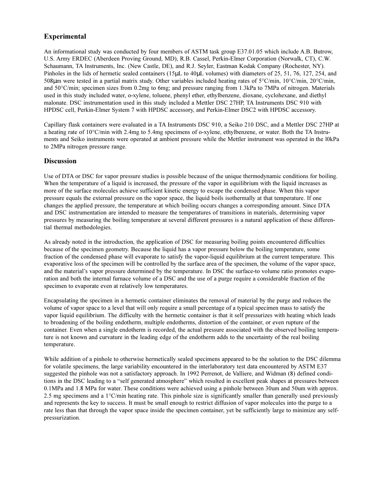# **Experimental**

An informational study was conducted by four members of ASTM task group E37.01.05 which include A.B. Butrow, U.S. Army ERDEC (Aberdeen Proving Ground, MD), R.B. Cassel, Perkin-Elmer Corporation (Norwalk, CT), C.W. Schaumann, TA Instruments, Inc. (New Castle, DE), and R.J. Seyler, Eastman Kodak Company (Rochester, NY). Pinholes in the lids of hermetic sealed containers (15µL to 40µL volumes) with diameters of 25, 51, 76, 127, 254, and 508µm were tested in a partial matrix study. Other variables included heating rates of 5°C/min, 10°C/min, 20°C/min, and 50°C/min; specimen sizes from 0.2mg to 6mg; and pressure ranging from 1.3kPa to 7MPa of nitrogen. Materials used in this study included water, o-xylene, toluene, phenyl ether, ethylbenzene, dioxane, cyclohexane, and diethyl malonate. DSC instrumentation used in this study included a Mettler DSC 27HP, TA Instruments DSC 910 with HPDSC cell, Perkin-Elmer System 7 with HPDSC accessory, and Perkin-Elmer DSC2 with HPDSC accessory.

Capillary flask containers were evaluated in a TA Instruments DSC 910, a Seiko 210 DSC, and a Mettler DSC 27HP at a heating rate of 10°C/min with 2.4mg to 5.4mg specimens of o-xylene, ethylbenzene, or water. Both the TA Instruments and Seiko instruments were operated at ambient pressure while the Mettler instrument was operated in the l0kPa to 2MPa nitrogen pressure range.

# **Discussion**

Use of DTA or DSC for vapor pressure studies is possible because of the unique thermodynamic conditions for boiling. When the temperature of a liquid is increased, the pressure of the vapor in equilibrium with the liquid increases as more of the surface molecules achieve sufficient kinetic energy to escape the condensed phase. When this vapor pressure equals the external pressure on the vapor space, the liquid boils isothermally at that temperature. If one changes the applied pressure, the temperature at which boiling occurs changes a corresponding amount. Since DTA and DSC instrumentation are intended to measure the temperatures of transitions in materials, determining vapor pressures by measuring the boiling temperature at several different pressures is a natural application of these differential thermal methodologies.

As already noted in the introduction, the application of DSC for measuring boiling points encountered difficulties because of the specimen geometry. Because the liquid has a vapor pressure below the boiling temperature, some fraction of the condensed phase will evaporate to satisfy the vapor-liquid equilibrium at the current temperature. This evaporative loss of the specimen will be controlled by the surface area of the specimen, the volume of the vapor space, and the material's vapor pressure determined by the temperature. In DSC the surface-to volume ratio promotes evaporation and both the internal furnace volume of a DSC and the use of a purge require a considerable fraction of the specimen to evaporate even at relatively low temperatures.

Encapsulating the specimen in a hermetic container eliminates the removal of material by the purge and reduces the volume of vapor space to a level that will only require a small percentage of a typical specimen mass to satisfy the vapor liquid equilibrium. The difficulty with the hermetic container is that it self pressurizes with heating which leads to broadening of the boiling endotherm, multiple endotherms, distortion of the container, or even rupture of the container. Even when a single endotherm is recorded, the actual pressure associated with the observed boiling temperature is not known and curvature in the leading edge of the endotherm adds to the uncertainty of the real boiling temperature.

While addition of a pinhole to otherwise hermetically sealed specimens appeared to be the solution to the DSC dilemma for volatile specimens, the large variability encountered in the interlaboratory test data encountered by ASTM E37 suggested the pinhole was not a satisfactory approach. In 1992 Perrenot, de Valliere, and Widman (8) defined conditions in the DSC leading to a "self generated atmosphere" which resulted in excellent peak shapes at pressures between 0.1MPa and 1.8 MPa for water. These conditions were achieved using a pinhole between 30um and 50um with approx. 2.5 mg specimens and a  $1^{\circ}$ C/min heating rate. This pinhole size is significantly smaller than generally used previously and represents the key to success. It must be small enough to restrict diffusion of vapor molecules into the purge to a rate less than that through the vapor space inside the specimen container, yet be sufficiently large to minimize any selfpressurization.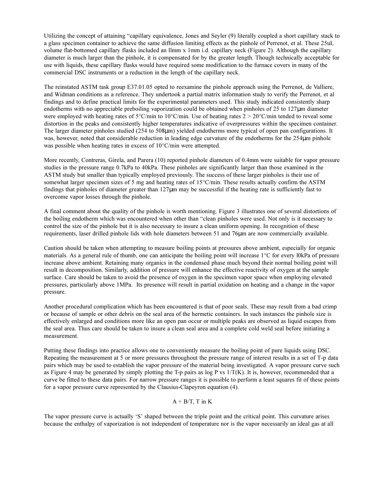Utilizing the concept of attaining "capillary equivalence, Jones and Seyler (9) literally coupled a short capillary stack to a glass specimen container to achieve the same diffusion limiting effects as the pinhole of Perrenot, et al. These 25uL volume flat-bottomed capillary flasks included an llmm x 1mm i.d. capillary neck (Figure 2). Although the capillary diameter is much larger than the pinhole, it is compensated for by the greater length. Though technically acceptable for use with liquids, these capillary flasks would have required some modification to the furnace covers in many of the commercial DSC instruments or a reduction in the length of the capillary neck.

The reinstated ASTM task group E37.01.05 opted to reexamine the pinhole approach using the Perrenot, de Valliere, and Widman conditions as a reference. They undertook a partial matrix information study to verify the Perrenot, et al findings and to define practical limits for the experimental parameters used. This study indicated consistently sharp endotherms with no appreciable preboiling vaporization could be obtained when pinholes of 25 to 127µm diameter were employed with heating rates of 5°C/min to 10°C/min. Use of heating rates 2 > 20°C/min tended to reveal some distortion in the peaks and consistently higher temperatures indicative of overpressures within the specimen container. The larger diameter pinholes studied (254 to 508µm) yielded endotherms more typical of open pan configurations. It was, however, noted that considerable reduction in leading edge curvature of the endotherms for the 254 $\mu$ m pinhole was possible when heating rates in excess of 10°C/min were attempted.

More recently, Contreras, Girela, and Parera (10) reported pinhole diameters of 0.4mm were suitable for vapor pressure studies in the pressure range 0.7kPa to 40kPa. These pinholes are significantly larger than those examined in the ASTM study but smaller than typically employed previously. The success of these larger pinholes is their use of somewhat larger specimen sizes of 5 mg and heating rates of 15°C/min. These results actually confirm the ASTM findings that pinholes of diameter greater than 127µm may be successful if the heating rate is sufficiently fast to overcome vapor losses through the pinhole.

A final comment about the quality of the pinhole is worth mentioning. Figure 3 illustrates one of several distortions of the boiling endotherm which was encountered when other than "clean pinholes were used. Not only is it necessary to control the size of the pinhole but it is also necessary to insure a clean uniform opening. In recognition of these requirements, laser drilled pinhole lids with hole diameters between 51 and 76µm are now commercially available.

Caution should be taken when attempting to measure boiling points at pressures above ambient, especially for organic materials. As a general rule of thumb, one can anticipate the boiling point will increase 1°C for every l0kPa of pressure increase above ambient. Retaining many organics in the condensed phase much beyond their normal boiling point will result in decomposition. Similarly, addition of pressure will enhance the effective reactivity of oxygen at the sample surface. Care should be taken to avoid the presence of oxygen in the specimen vapor space when employing elevated pressures, particularly above 1MPa. Its presence will result in partial oxidation on heating and a change in the vapor pressure.

Another procedural complication which has been encountered is that of poor seals. These may result from a bad crimp or because of sample or other debris on the seal area of the hermetic containers. In such instances the pinhole size is effectively enlarged and conditions more like an open pan occur or multiple peaks are observed as liquid escapes from the seal area. Thus care should be taken to insure a clean seal area and a complete cold weld seal before initiating a measurement.

Putting these findings into practice allows one to conveniently measure the boiling point of pure liquids using DSC. Repeating the measurement at 5 or more pressures throughout the pressure range of interest results in a set of T-p data pairs which may be used to establish the vapor pressure of the material being investigated. A vapor pressure curve such as Figure 4 may be generated by simply plotting the T-p pairs as  $log P$  vs  $1/T(K)$ . It is, however, recommended that a curve be fitted to these data pairs. For narrow pressure ranges it is possible to perform a least squares fit of these points for a vapor pressure curve represented by the Clausius-Clapeyron equation (4).

#### $A + B/T$ , T in K

The vapor pressure curve is actually 'S' shaped between the triple point and the critical point. This curvature arises because the enthalpy of vaporization is not independent of temperature nor is the vapor necessarily an ideal gas at all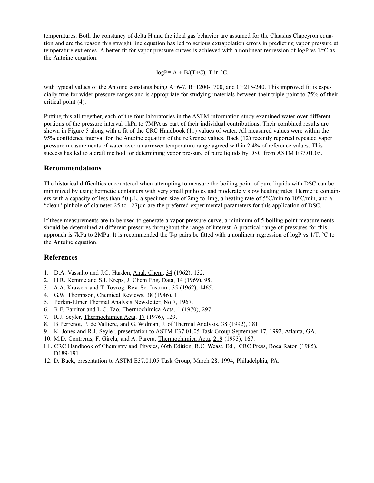temperatures. Both the constancy of delta H and the ideal gas behavior are assumed for the Clausius Clapeyron equation and are the reason this straight line equation has led to serious extrapolation errors in predicting vapor pressure at temperature extremes. A better fit for vapor pressure curves is achieved with a nonlinear regression of logP vs 1/°C as the Antoine equation:

$$
logP = A + B/(T+C)
$$
, T in °C.

with typical values of the Antoine constants being  $A=6-7$ ,  $B=1200-1700$ , and  $C=215-240$ . This improved fit is especially true for wider pressure ranges and is appropriate for studying materials between their triple point to 75% of their critical point (4).

Putting this all together, each of the four laboratories in the ASTM information study examined water over different portions of the pressure interval 1kPa to 7MPA as part of their individual contributions. Their combined results are shown in Figure 5 along with a fit of the CRC Handbook (11) values of water. All measured values were within the 95% confidence interval for the Antoine equation of the reference values. Back (12) recently reported repeated vapor pressure measurements of water over a narrower temperature range agreed within 2.4% of reference values. This success has led to a draft method for determining vapor pressure of pure liquids by DSC from ASTM E37.01.05.

### **Recommendations**

The historical difficulties encountered when attempting to measure the boiling point of pure liquids with DSC can be minimized by using hermetic containers with very small pinholes and moderately slow heating rates. Hermetic containers with a capacity of less than 50 µL, a specimen size of 2mg to 4mg, a heating rate of 5°C/min to 10°C/min, and a "clean" pinhole of diameter 25 to 127 $\mu$ m are the preferred experimental parameters for this application of DSC.

If these measurements are to be used to generate a vapor pressure curve, a minimum of 5 boiling point measurements should be determined at different pressures throughout the range of interest. A practical range of pressures for this approach is 7kPa to 2MPa. It is recommended the T-p pairs be fitted with a nonlinear regression of logP vs 1/T, °C to the Antoine equation.

# **References**

- 1. D.A. Vassallo and J.C. Harden, Anal. Chem, 34 (1962), 132.
- 2. H.R. Kemme and S.I. Kreps, J. Chem Eng. Data, 14 (1969), 98.
- 3. A.A. Krawetz and T. Tovrog, Rev. Sc. Instrum, 35 (1962), 1465.
- 4. G.W. Thompson, Chemical Reviews, 38 (1946), 1.
- 5. Perkin-Elmer Thermal Analysis Newsletter, No.7, 1967.
- 6. R.F. Farritor and L.C. Tao, Thermochimica Acta, 1 (1970), 297.
- 7. R.J. Seyler, Thermochimica Acta, 17 (1976), 129.
- 8. B Perrenot, P. de Valliere, and G. Widman, J. of Thermal Analysis, 38 (1992), 381.
- 9. K. Jones and R.J. Seyler, presentation to ASTM E37.01.05 Task Group September 17, 1992, Atlanta, GA.
- 10. M.D. Contreras, F. Girela, and A. Parera, Thermochimica Acta, 219 (1993), 167.
- l l . CRC Handbook of Chemistry and Physics, 66th Edition, R.C. Weast, Ed., CRC Press, Boca Raton (1985), D189-191.
- 12. D. Back, presentation to ASTM E37.01.05 Task Group, March 28, 1994, Philadelphia, PA.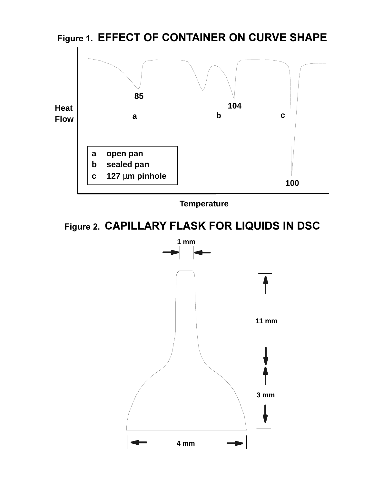

**Temperature**

**Figure 2. CAPILLARY FLASK FOR LIQUIDS IN DSC**

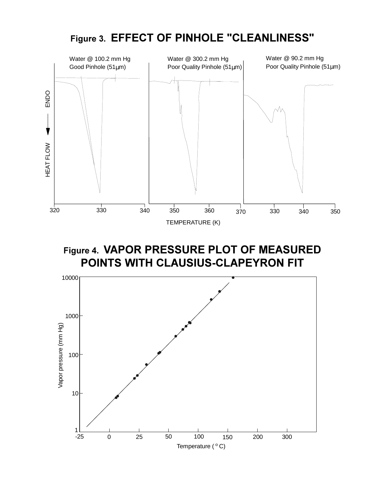

# **Figure 4. VAPOR PRESSURE PLOT OF MEASURED POINTS WITH CLAUSIUS-CLAPEYRON FIT**